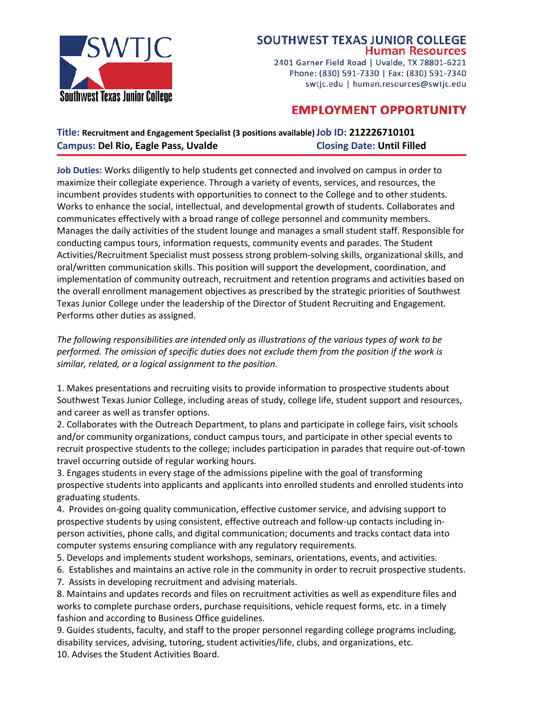

## **SOUTHWEST TEXAS JUNIOR COLLEGE Human Resources**

2401 Garner Field Road | Uvalde, TX 78801-6221 Phone: (830) 591-7330 | Fax: (830) 591-7340 swtjc.edu | human.resources@swtjc.edu

# **EMPLOYMENT OPPORTUNITY**

## **Title: Recruitment and Engagement Specialist (3 positions available)Job ID: 212226710101 Campus: Del Rio, Eagle Pass, Uvalde Closing Date: Until Filled**

**Job Duties:** Works diligently to help students get connected and involved on campus in order to maximize their collegiate experience. Through a variety of events, services, and resources, the incumbent provides students with opportunities to connect to the College and to other students. Works to enhance the social, intellectual, and developmental growth of students. Collaborates and communicates effectively with a broad range of college personnel and community members. Manages the daily activities of the student lounge and manages a small student staff. Responsible for conducting campus tours, information requests, community events and parades. The Student Activities/Recruitment Specialist must possess strong problem-solving skills, organizational skills, and oral/written communication skills. This position will support the development, coordination, and implementation of community outreach, recruitment and retention programs and activities based on the overall enrollment management objectives as prescribed by the strategic priorities of Southwest Texas Junior College under the leadership of the Director of Student Recruiting and Engagement. Performs other duties as assigned.

*The following responsibilities are intended only as illustrations of the various types of work to be*  performed. The omission of specific duties does not exclude them from the position if the work is *similar, related, or a logical assignment to the position.* 

1. Makes presentations and recruiting visits to provide information to prospective students about Southwest Texas Junior College, including areas of study, college life, student support and resources, and career as well as transfer options.

2. Collaborates with the Outreach Department, to plans and participate in college fairs, visit schools and/or community organizations, conduct campus tours, and participate in other special events to recruit prospective students to the college; includes participation in parades that require out-of-town travel occurring outside of regular working hours.

3. Engages students in every stage of the admissions pipeline with the goal of transforming prospective students into applicants and applicants into enrolled students and enrolled students into graduating students.

4. Provides on-going quality communication, effective customer service, and advising support to prospective students by using consistent, effective outreach and follow-up contacts including inperson activities, phone calls, and digital communication; documents and tracks contact data into computer systems ensuring compliance with any regulatory requirements.

5. Develops and implements student workshops, seminars, orientations, events, and activities.

6. Establishes and maintains an active role in the community in order to recruit prospective students.

7. Assists in developing recruitment and advising materials.

8. Maintains and updates records and files on recruitment activities as well as expenditure files and works to complete purchase orders, purchase requisitions, vehicle request forms, etc. in a timely fashion and according to Business Office guidelines.

9. Guides students, faculty, and staff to the proper personnel regarding college programs including, disability services, advising, tutoring, student activities/life, clubs, and organizations, etc. 10. Advises the Student Activities Board.